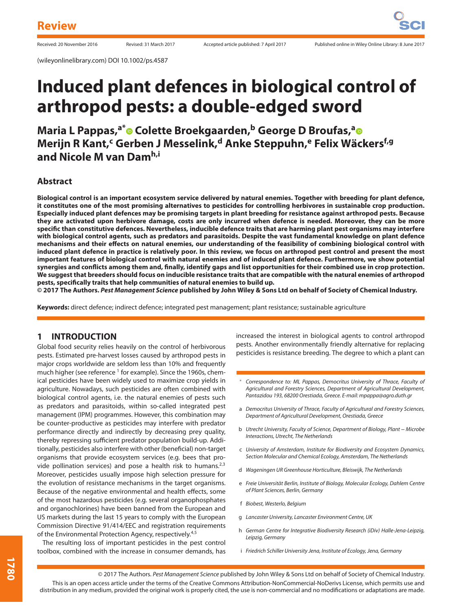# **Induced plant defences in biological control of arthropod pests: a double-edged sword**

**Maria L Pappas,<sup>a[\\*](http://orcid.org/0000-0003-4563-3023)</sup> • Colette Broekg[a](http://orcid.org/0000-0003-3604-2109)arden,<sup>b</sup> George D Broufas,<sup>a</sup> • Merijn R Kant,<sup>c</sup> Gerben J Messelink,<sup>d</sup> Anke Steppuhn,e Felix Wäckersf,g and Nicole M van Damh,i**

## **Abstract**

**Biological control is an important ecosystem service delivered by natural enemies. Together with breeding for plant defence, it constitutes one of the most promising alternatives to pesticides for controlling herbivores in sustainable crop production. Especially induced plant defences may be promising targets in plant breeding for resistance against arthropod pests. Because they are activated upon herbivore damage, costs are only incurred when defence is needed. Moreover, they can be more specific than constitutive defences. Nevertheless, inducible defence traits that are harming plant pest organisms may interfere with biological control agents, such as predators and parasitoids. Despite the vast fundamental knowledge on plant defence mechanisms and their effects on natural enemies, our understanding of the feasibility of combining biological control with induced plant defence in practice is relatively poor. In this review, we focus on arthropod pest control and present the most important features of biological control with natural enemies and of induced plant defence. Furthermore, we show potential synergies and conflicts among them and, finally, identify gaps and list opportunities for their combined use in crop protection. We suggest that breeders should focus on inducible resistance traits that are compatible with the natural enemies of arthropod pests, specifically traits that help communities of natural enemies to build up.**

**© 2017 The Authors.** *Pest Management Science* **published by John Wiley & Sons Ltd on behalf of Society of Chemical Industry.**

**Keywords:** direct defence; indirect defence; integrated pest management; plant resistance; sustainable agriculture

## **1 INTRODUCTION**

Global food security relies heavily on the control of herbivorous pests. Estimated pre-harvest losses caused by arthropod pests in major crops worldwide are seldom less than 10% and frequently much higher (see reference  $1$  for example). Since the 1960s, chemical pesticides have been widely used to maximize crop yields in agriculture. Nowadays, such pesticides are often combined with biological control agents, i.e. the natural enemies of pests such as predators and parasitoids, within so-called integrated pest management (IPM) programmes. However, this combination may be counter-productive as pesticides may interfere with predator performance directly and indirectly by decreasing prey quality, thereby repressing sufficient predator population build-up. Additionally, pesticides also interfere with other (beneficial) non-target organisms that provide ecosystem services (e.g. bees that provide pollination services) and pose a health risk to humans.2*,*<sup>3</sup> Moreover, pesticides usually impose high selection pressure for the evolution of resistance mechanisms in the target organisms. Because of the negative environmental and health effects, some of the most hazardous pesticides (e.g. several organophosphates and organochlorines) have been banned from the European and US markets during the last 15 years to comply with the European Commission Directive 91/414/EEC and registration requirements of the Environmental Protection Agency, respectively.4*,*<sup>5</sup>

The resulting loss of important pesticides in the pest control toolbox, combined with the increase in consumer demands, has increased the interest in biological agents to control arthropod pests. Another environmentally friendly alternative for replacing pesticides is resistance breeding. The degree to which a plant can

- Correspondence to: ML Pappas, Democritus University of Thrace, Faculty of Agricultural and Forestry Sciences, Department of Agricultural Development, Pantazidou 193, 68200 Orestiada, Greece. E-mail: mpappa@agro.duth.gr
- a Democritus University of Thrace, Faculty of Agricultural and Forestry Sciences, Department of Agricultural Development, Orestiada, Greece
- b Utrecht University, Faculty of Science, Department of Biology, Plant− Microbe Interactions, Utrecht, The Netherlands
- c University of Amsterdam, Institute for Biodiversity and Ecosystem Dynamics, Section Molecular and Chemical Ecology, Amsterdam, The Netherlands
- d Wageningen UR Greenhouse Horticulture, Bleiswijk, The Netherlands
- e Freie Universität Berlin, Institute of Biology, Molecular Ecology, Dahlem Centre of Plant Sciences, Berlin, Germany
- f Biobest, Westerlo, Belgium
- g Lancaster University, Lancaster Environment Centre, UK
- h German Centre for Integrative Biodiversity Research (iDiv) Halle-Jena-Leipzig, Leipzig, Germany
- i Friedrich Schiller University Jena, Institute of Ecology, Jena, Germany

© 2017 The Authors. Pest Management Science published by John Wiley & Sons Ltd on behalf of Society of Chemical Industry. This is an open access article under the terms of the Creative Commons Attribution-NonCommercial-NoDerivs License, which permits use and distribution in any medium, provided the original work is properly cited, the use is non-commercial and no modifications or adaptations are made.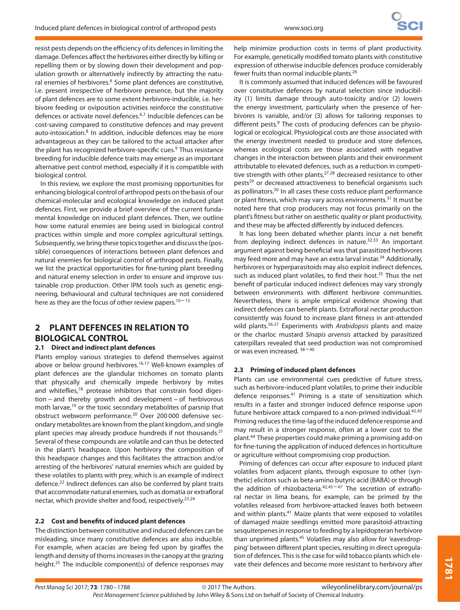resist pests depends on the efficiency of its defences in limiting the damage. Defences affect the herbivores either directly by killing or repelling them or by slowing down their development and population growth or alternatively indirectly by attracting the natural enemies of herbivores.<sup>6</sup> Some plant defences are constitutive, i.e. present irrespective of herbivore presence, but the majority of plant defences are to some extent herbivore-inducible, i.e. herbivore feeding or oviposition activities reinforce the constitutive defences or activate novel defences.6*,*<sup>7</sup> Inducible defences can be cost-saving compared to constitutive defences and may prevent auto-intoxication.<sup>8</sup> In addition, inducible defences may be more advantageous as they can be tailored to the actual attacker after the plant has recognized herbivore-specific cues.<sup>9</sup> Thus resistance breeding for inducible defence traits may emerge as an important alternative pest control method, especially if it is compatible with biological control.

In this review, we explore the most promising opportunities for enhancing biological control of arthropod pests on the basis of our chemical-molecular and ecological knowledge on induced plant defences. First, we provide a brief overview of the current fundamental knowledge on induced plant defences. Then, we outline how some natural enemies are being used in biological control practices within simple and more complex agricultural settings. Subsequently, we bring these topics together and discuss the (possible) consequences of interactions between plant defences and natural enemies for biological control of arthropod pests. Finally, we list the practical opportunities for fine-tuning plant breeding and natural enemy selection in order to ensure and improve sustainable crop production. Other IPM tools such as genetic engineering, behavioural and cultural techniques are not considered here as they are the focus of other review papers.<sup>10-15</sup>

## **2 PLANT DEFENCES IN RELATION TO BIOLOGICAL CONTROL**

#### **2.1 Direct and indirect plant defences**

Plants employ various strategies to defend themselves against above or below ground herbivores.16*,*<sup>17</sup> Well-known examples of plant defences are the glandular trichomes on tomato plants that physically and chemically impede herbivory by mites and whiteflies,<sup>18</sup> protease inhibitors that constrain food digestion−and thereby growth and development−of herbivorous moth larvae,<sup>19</sup> or the toxic secondary metabolites of parsnip that obstruct webworm performance.<sup>20</sup> Over 200 000 defensive secondary metabolites are known from the plant kingdom, and single plant species may already produce hundreds if not thousands. $21$ Several of these compounds are volatile and can thus be detected in the plant's headspace. Upon herbivory the composition of this headspace changes and this facilitates the attraction and/or arresting of the herbivores' natural enemies which are guided by these volatiles to plants with prey, which is an example of indirect defence.<sup>22</sup> Indirect defences can also be conferred by plant traits that accommodate natural enemies, such as domatia or extrafloral nectar, which provide shelter and food, respectively.23*,*<sup>24</sup>

#### **2.2 Cost and benefits of induced plant defences**

The distinction between constitutive and induced defences can be misleading, since many constitutive defences are also inducible. For example, when acacias are being fed upon by giraffes the length and density of thorns increases in the canopy at the grazing height.<sup>25</sup> The inducible component(s) of defence responses may help minimize production costs in terms of plant productivity. For example, genetically modified tomato plants with constitutive expression of otherwise inducible defences produce considerably fewer fruits than normal inducible plants.26

It is commonly assumed that induced defences will be favoured over constitutive defences by natural selection since inducibility (1) limits damage through auto-toxicity and/or (2) lowers the energy investment, particularly when the presence of herbivores is variable, and/or (3) allows for tailoring responses to different pests.<sup>9</sup> The costs of producing defences can be physiological or ecological. Physiological costs are those associated with the energy investment needed to produce and store defences, whereas ecological costs are those associated with negative changes in the interaction between plants and their environment attributable to elevated defences, such as a reduction in competitive strength with other plants,<sup>27,28</sup> decreased resistance to other pests<sup>29</sup> or decreased attractiveness to beneficial organisms such as pollinators.<sup>30</sup> In all cases these costs reduce plant performance or plant fitness, which may vary across environments.<sup>31</sup> It must be noted here that crop producers may not focus primarily on the plant's fitness but rather on aesthetic quality or plant productivity, and these may be affected differently by induced defences.

It has long been debated whether plants incur a net benefit from deploying indirect defences in nature.32*,*<sup>33</sup> An important argument against being beneficial was that parasitized herbivores may feed more and may have an extra larval instar.<sup>34</sup> Additionally, herbivores or hyperparasitoids may also exploit indirect defences, such as induced plant volatiles, to find their host.<sup>35</sup> Thus the net benefit of particular induced indirect defences may vary strongly between environments with different herbivore communities. Nevertheless, there is ample empirical evidence showing that indirect defences can benefit plants. Extrafloral nectar production consistently was found to increase plant fitness in ant-attended wild plants.<sup>36,37</sup> Experiments with Arabidopsis plants and maize or the charloc mustard Sinapis arvensis attacked by parasitized caterpillars revealed that seed production was not compromised or was even increased.  $38 - 40$ 

## **2.3 Priming of induced plant defences**

Plants can use environmental cues predictive of future stress, such as herbivore-induced plant volatiles, to prime their inducible defence responses.41 Priming is a state of sensitization which results in a faster and stronger induced defence response upon future herbivore attack compared to a non-primed individual.42*,*<sup>43</sup> Priming reduces the time-lag of the induced defence response and may result in a stronger response, often at a lower cost to the plant.44 These properties could make priming a promising add-on for fine-tuning the application of induced defences in horticulture or agriculture without compromising crop production.

Priming of defences can occur after exposure to induced plant volatiles from adjacent plants, through exposure to other (synthetic) elicitors such as beta-amino butyric acid (BABA) or through the addition of rhizobacteria.<sup>42,45-47</sup> The secretion of extrafloral nectar in lima beans, for example, can be primed by the volatiles released from herbivore-attacked leaves both between and within plants.41 Maize plants that were exposed to volatiles of damaged maize seedlings emitted more parasitoid-attracting sesquiterpenes in response to feeding by a lepidopteran herbivore than unprimed plants.<sup>45</sup> Volatiles may also allow for 'eavesdropping' between different plant species, resulting in direct upregulation of defences. This is the case for wild tobacco plants which elevate their defences and become more resistant to herbivory after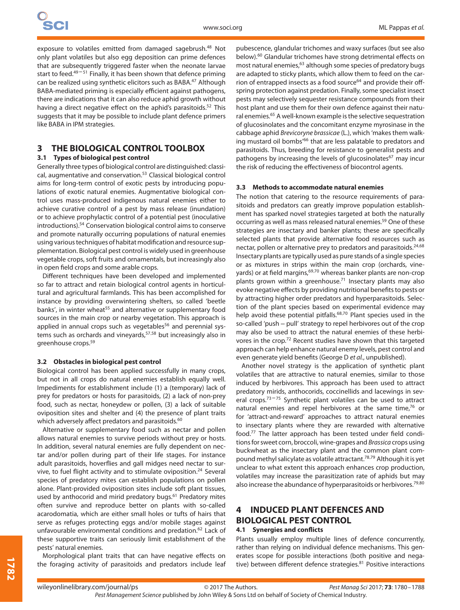exposure to volatiles emitted from damaged sagebrush.<sup>48</sup> Not only plant volatiles but also egg deposition can prime defences that are subsequently triggered faster when the neonate larvae start to feed. $49-51$  Finally, it has been shown that defence priming can be realized using synthetic elicitors such as BABA.47 Although BABA-mediated priming is especially efficient against pathogens, there are indications that it can also reduce aphid growth without having a direct negative effect on the aphid's parasitoids.<sup>52</sup> This suggests that it may be possible to include plant defence primers like BABA in IPM strategies.

## **3 THE BIOLOGICAL CONTROL TOOLBOX**

## **3.1 Types of biological pest control**

Generally three types of biological control are distinguished: classical, augmentative and conservation.53 Classical biological control aims for long-term control of exotic pests by introducing populations of exotic natural enemies. Augmentative biological control uses mass-produced indigenous natural enemies either to achieve curative control of a pest by mass release (inundation) or to achieve prophylactic control of a potential pest (inoculative introductions).54 Conservation biological control aims to conserve and promote naturally occurring populations of natural enemies using various techniques of habitat modification and resource supplementation. Biological pest control is widely used in greenhouse vegetable crops, soft fruits and ornamentals, but increasingly also in open field crops and some arable crops.

Different techniques have been developed and implemented so far to attract and retain biological control agents in horticultural and agricultural farmlands. This has been accomplished for instance by providing overwintering shelters, so called 'beetle banks', in winter wheat<sup>55</sup> and alternative or supplementary food sources in the main crop or nearby vegetation. This approach is applied in annual crops such as vegetables<sup>56</sup> and perennial systems such as orchards and vineyards,57*,*<sup>58</sup> but increasingly also in greenhouse crops.59

#### **3.2 Obstacles in biological pest control**

Biological control has been applied successfully in many crops, but not in all crops do natural enemies establish equally well. Impediments for establishment include (1) a (temporary) lack of prey for predators or hosts for parasitoids, (2) a lack of non-prey food, such as nectar, honeydew or pollen, (3) a lack of suitable oviposition sites and shelter and (4) the presence of plant traits which adversely affect predators and parasitoids.<sup>60</sup>

Alternative or supplementary food such as nectar and pollen allows natural enemies to survive periods without prey or hosts. In addition, several natural enemies are fully dependent on nectar and/or pollen during part of their life stages. For instance adult parasitoids, hoverflies and gall midges need nectar to survive, to fuel flight activity and to stimulate oviposition.<sup>24</sup> Several species of predatory mites can establish populations on pollen alone. Plant-provided oviposition sites include soft plant tissues, used by anthocorid and mirid predatory bugs.<sup>61</sup> Predatory mites often survive and reproduce better on plants with so-called acarodomatia, which are either small holes or tufts of hairs that serve as refuges protecting eggs and/or mobile stages against unfavourable environmental conditions and predation.<sup>62</sup> Lack of these supportive traits can seriously limit establishment of the pests' natural enemies.

Morphological plant traits that can have negative effects on the foraging activity of parasitoids and predators include leaf pubescence, glandular trichomes and waxy surfaces (but see also below).60 Glandular trichomes have strong detrimental effects on most natural enemies,<sup>63</sup> although some species of predatory bugs are adapted to sticky plants, which allow them to feed on the carrion of entrapped insects as a food source<sup>64</sup> and provide their offspring protection against predation. Finally, some specialist insect pests may selectively sequester resistance compounds from their host plant and use them for their own defence against their natural enemies.<sup>65</sup> A well-known example is the selective sequestration of glucosinolates and the concomitant enzyme myrosinase in the cabbage aphid Brevicoryne brassicae (L.), which 'makes them walking mustard oil bombs<sup>'66</sup> that are less palatable to predators and parasitoids. Thus, breeding for resistance to generalist pests and pathogens by increasing the levels of glucosinolates<sup>67</sup> may incur the risk of reducing the effectiveness of biocontrol agents.

#### **3.3 Methods to accommodate natural enemies**

The notion that catering to the resource requirements of parasitoids and predators can greatly improve population establishment has sparked novel strategies targeted at both the naturally occurring as well as mass released natural enemies.<sup>59</sup> One of these strategies are insectary and banker plants; these are specifically selected plants that provide alternative food resources such as nectar, pollen or alternative prey to predators and parasitoids.24*,*<sup>68</sup> Insectary plants are typically used as pure stands of a single species or as mixtures in strips within the main crop (orchards, vineyards) or at field margins,69*,*<sup>70</sup> whereas banker plants are non-crop plants grown within a greenhouse.<sup>71</sup> Insectary plants may also evoke negative effects by providing nutritional benefits to pests or by attracting higher order predators and hyperparasitoids. Selection of the plant species based on experimental evidence may help avoid these potential pitfalls.68*,*<sup>70</sup> Plant species used in the so-called 'push−pull' strategy to repel herbivores out of the crop may also be used to attract the natural enemies of these herbivores in the crop.72 Recent studies have shown that this targeted approach can help enhance natural enemy levels, pest control and even generate yield benefits (George D et al., unpublished).

Another novel strategy is the application of synthetic plant volatiles that are attractive to natural enemies, similar to those induced by herbivores. This approach has been used to attract predatory mirids, anthocorids, coccinellids and lacewings in several crops. $73 - 75$  Synthetic plant volatiles can be used to attract natural enemies and repel herbivores at the same time,<sup>76</sup> or for 'attract-and-reward' approaches to attract natural enemies to insectary plants where they are rewarded with alternative food.77 The latter approach has been tested under field conditions for sweet corn, broccoli, wine-grapes and Brassica crops using buckwheat as the insectary plant and the common plant compound methyl salicylate as volatile attractant.78*,*<sup>79</sup> Although it is yet unclear to what extent this approach enhances crop production, volatiles may increase the parasitization rate of aphids but may also increase the abundance of hyperparasitoids or herbivores.79*,*<sup>80</sup>

## **4 INDUCED PLANT DEFENCES AND BIOLOGICAL PEST CONTROL 4.1 Synergies and conflicts**

Plants usually employ multiple lines of defence concurrently, rather than relying on individual defence mechanisms. This generates scope for possible interactions (both positive and negative) between different defence strategies.<sup>81</sup> Positive interactions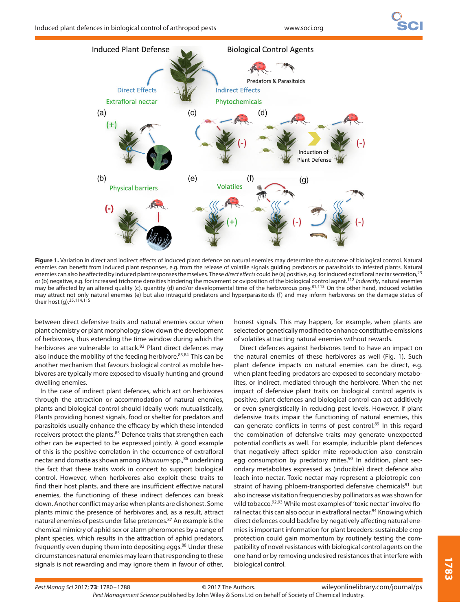

**Figure 1.** Variation in direct and indirect effects of induced plant defence on natural enemies may determine the outcome of biological control. Natural enemies can benefit from induced plant responses, e.g. from the release of volatile signals guiding predators or parasitoids to infested plants. Natural enemies can also be affected by induced plant responses themselves. These direct effects could be (a) positive, e.g. for induced extrafloral nectar secretion,<sup>23</sup> or (b) negative, e.g. for increased trichome densities hindering the movement or oviposition of the biological control agent.<sup>112</sup> Indirectly, natural enemies may be affected by an altered quality (c), quantity (d) and/or developmental time of the herbivorous prey.81*,*<sup>113</sup> On the other hand, induced volatiles may attract not only natural enemies (e) but also intraguild predators and hyperparasitoids (f) and may inform herbivores on the damage status of their host (g).35*,*114*,*<sup>115</sup>

between direct defensive traits and natural enemies occur when plant chemistry or plant morphology slow down the development of herbivores, thus extending the time window during which the herbivores are vulnerable to attack.<sup>82</sup> Plant direct defences may also induce the mobility of the feeding herbivore.83*,*<sup>84</sup> This can be another mechanism that favours biological control as mobile herbivores are typically more exposed to visually hunting and ground dwelling enemies.

In the case of indirect plant defences, which act on herbivores through the attraction or accommodation of natural enemies, plants and biological control should ideally work mutualistically. Plants providing honest signals, food or shelter for predators and parasitoids usually enhance the efficacy by which these intended receivers protect the plants.<sup>85</sup> Defence traits that strengthen each other can be expected to be expressed jointly. A good example of this is the positive correlation in the occurrence of extrafloral nectar and domatia as shown among Viburnum spp.,<sup>86</sup> underlining the fact that these traits work in concert to support biological control. However, when herbivores also exploit these traits to find their host plants, and there are insufficient effective natural enemies, the functioning of these indirect defences can break down. Another conflict may arise when plants are dishonest. Some plants mimic the presence of herbivores and, as a result, attract natural enemies of pests under false pretences.<sup>87</sup> An example is the chemical mimicry of aphid sex or alarm pheromones by a range of plant species, which results in the attraction of aphid predators, frequently even duping them into depositing eggs.<sup>88</sup> Under these circumstances natural enemies may learn that responding to these signals is not rewarding and may ignore them in favour of other,

honest signals. This may happen, for example, when plants are selected or genetically modified to enhance constitutive emissions of volatiles attracting natural enemies without rewards.

Direct defences against herbivores tend to have an impact on the natural enemies of these herbivores as well (Fig. 1). Such plant defence impacts on natural enemies can be direct, e.g. when plant feeding predators are exposed to secondary metabolites, or indirect, mediated through the herbivore. When the net impact of defensive plant traits on biological control agents is positive, plant defences and biological control can act additively or even synergistically in reducing pest levels. However, if plant defensive traits impair the functioning of natural enemies, this can generate conflicts in terms of pest control.<sup>89</sup> In this regard the combination of defensive traits may generate unexpected potential conflicts as well. For example, inducible plant defences that negatively affect spider mite reproduction also constrain egg consumption by predatory mites.<sup>90</sup> In addition, plant secondary metabolites expressed as (inducible) direct defence also leach into nectar. Toxic nectar may represent a pleiotropic constraint of having phloem-transported defensive chemicals<sup>91</sup> but also increase visitation frequencies by pollinators as was shown for wild tobacco.92*,*<sup>93</sup> While most examples of 'toxic nectar' involve floral nectar, this can also occur in extrafloral nectar.<sup>94</sup> Knowing which direct defences could backfire by negatively affecting natural enemies is important information for plant breeders: sustainable crop protection could gain momentum by routinely testing the compatibility of novel resistances with biological control agents on the one hand or by removing undesired resistances that interfere with biological control.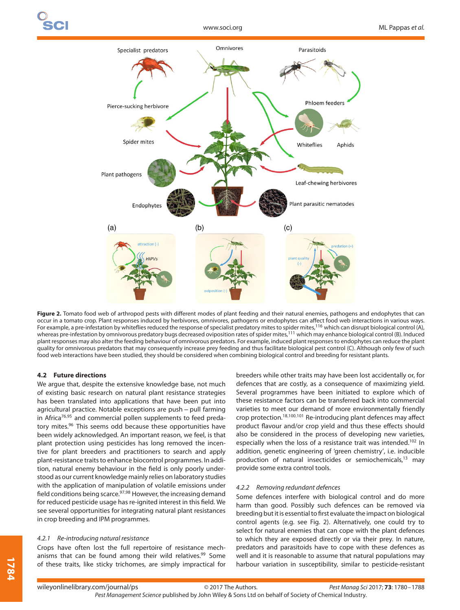

**Figure 2.** Tomato food web of arthropod pests with different modes of plant feeding and their natural enemies, pathogens and endophytes that can occur in a tomato crop. Plant responses induced by herbivores, omnivores, pathogens or endophytes can affect food web interactions in various ways. For example, a pre-infestation by whiteflies reduced the response of specialist predatory mites to spider mites,<sup>116</sup> which can disrupt biological control (A), whereas pre-infestation by omnivorous predatory bugs decreased oviposition rates of spider mites,<sup>111</sup> which may enhance biological control (B). Induced plant responses may also alter the feeding behaviour of omnivorous predators. For example, induced plant responses to endophytes can reduce the plant quality for omnivorous predators that may consequently increase prey feeding and thus facilitate biological pest control (C). Although only few of such food web interactions have been studied, they should be considered when combining biological control and breeding for resistant plants.

#### **4.2 Future directions**

We argue that, despite the extensive knowledge base, not much of existing basic research on natural plant resistance strategies has been translated into applications that have been put into agricultural practice. Notable exceptions are push - pull farming in Africa<sup>76,95</sup> and commercial pollen supplements to feed predatory mites.<sup>96</sup> This seems odd because these opportunities have been widely acknowledged. An important reason, we feel, is that plant protection using pesticides has long removed the incentive for plant breeders and practitioners to search and apply plant-resistance traits to enhance biocontrol programmes. In addition, natural enemy behaviour in the field is only poorly understood as our current knowledge mainly relies on laboratory studies with the application of manipulation of volatile emissions under field conditions being scarce.97*,*<sup>98</sup> However, the increasing demand for reduced pesticide usage has re-ignited interest in this field. We see several opportunities for integrating natural plant resistances in crop breeding and IPM programmes.

#### 4.2.1 Re-introducing natural resistance

Crops have often lost the full repertoire of resistance mechanisms that can be found among their wild relatives.<sup>99</sup> Some of these traits, like sticky trichomes, are simply impractical for breeders while other traits may have been lost accidentally or, for defences that are costly, as a consequence of maximizing yield. Several programmes have been initiated to explore which of these resistance factors can be transferred back into commercial varieties to meet our demand of more environmentally friendly crop protection.18*,*100*,*<sup>101</sup> Re-introducing plant defences may affect product flavour and/or crop yield and thus these effects should also be considered in the process of developing new varieties, especially when the loss of a resistance trait was intended.<sup>102</sup> In addition, genetic engineering of 'green chemistry', i.e. inducible production of natural insecticides or semiochemicals,<sup>13</sup> may provide some extra control tools.

#### 4.2.2 Removing redundant defences

Some defences interfere with biological control and do more harm than good. Possibly such defences can be removed via breeding but it is essential to first evaluate the impact on biological control agents (e.g. see Fig. 2). Alternatively, one could try to select for natural enemies that can cope with the plant defences to which they are exposed directly or via their prey. In nature, predators and parasitoids have to cope with these defences as well and it is reasonable to assume that natural populations may harbour variation in susceptibility, similar to pesticide-resistant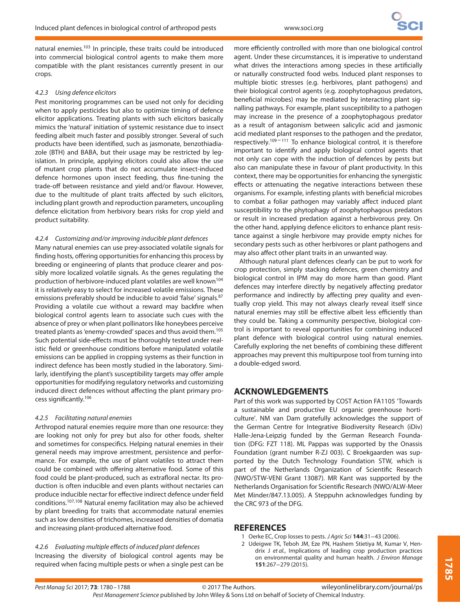natural enemies.<sup>103</sup> In principle, these traits could be introduced into commercial biological control agents to make them more compatible with the plant resistances currently present in our crops.

#### 4.2.3 Using defence elicitors

Pest monitoring programmes can be used not only for deciding when to apply pesticides but also to optimize timing of defence elicitor applications. Treating plants with such elicitors basically mimics the 'natural' initiation of systemic resistance due to insect feeding albeit much faster and possibly stronger. Several of such products have been identified, such as jasmonate, benzothiadiazole (BTH) and BABA, but their usage may be restricted by legislation. In principle, applying elicitors could also allow the use of mutant crop plants that do not accumulate insect-induced defence hormones upon insect feeding, thus fine-tuning the trade-off between resistance and yield and/or flavour. However, due to the multitude of plant traits affected by such elicitors, including plant growth and reproduction parameters, uncoupling defence elicitation from herbivory bears risks for crop yield and product suitability.

## 4.2.4 Customizing and/or improving inducible plant defences

Many natural enemies can use prey-associated volatile signals for finding hosts, offering opportunities for enhancing this process by breeding or engineering of plants that produce clearer and possibly more localized volatile signals. As the genes regulating the production of herbivore-induced plant volatiles are well known<sup>104</sup> it is relatively easy to select for increased volatile emissions. These emissions preferably should be inducible to avoid 'false' signals.<sup>87</sup> Providing a volatile cue without a reward may backfire when biological control agents learn to associate such cues with the absence of prey or when plant pollinators like honeybees perceive treated plants as 'enemy-crowded' spaces and thus avoid them.<sup>105</sup> Such potential side-effects must be thoroughly tested under realistic field or greenhouse conditions before manipulated volatile emissions can be applied in cropping systems as their function in indirect defence has been mostly studied in the laboratory. Similarly, identifying the plant's susceptibility targets may offer ample opportunities for modifying regulatory networks and customizing induced direct defences without affecting the plant primary process significantly.106

## 4.2.5 Facilitating natural enemies

Arthropod natural enemies require more than one resource: they are looking not only for prey but also for other foods, shelter and sometimes for conspecifics. Helping natural enemies in their general needs may improve arrestment, persistence and performance. For example, the use of plant volatiles to attract them could be combined with offering alternative food. Some of this food could be plant-produced, such as extrafloral nectar. Its production is often inducible and even plants without nectaries can produce inducible nectar for effective indirect defence under field conditions.107*,*<sup>108</sup> Natural enemy facilitation may also be achieved by plant breeding for traits that accommodate natural enemies such as low densities of trichomes, increased densities of domatia and increasing plant-produced alternative food.

## 4.2.6 Evaluating multiple effects of induced plant defences

Increasing the diversity of biological control agents may be required when facing multiple pests or when a single pest can be

more efficiently controlled with more than one biological control agent. Under these circumstances, it is imperative to understand what drives the interactions among species in these artificially or naturally constructed food webs. Induced plant responses to multiple biotic stresses (e.g. herbivores, plant pathogens) and their biological control agents (e.g. zoophytophagous predators, beneficial microbes) may be mediated by interacting plant signalling pathways. For example, plant susceptibility to a pathogen may increase in the presence of a zoophytophagous predator as a result of antagonism between salicylic acid and jasmonic acid mediated plant responses to the pathogen and the predator, respectively.<sup>109-111</sup> To enhance biological control, it is therefore important to identify and apply biological control agents that not only can cope with the induction of defences by pests but also can manipulate these in favour of plant productivity. In this context, there may be opportunities for enhancing the synergistic effects or attenuating the negative interactions between these organisms. For example, infesting plants with beneficial microbes to combat a foliar pathogen may variably affect induced plant susceptibility to the phytophagy of zoophytophagous predators or result in increased predation against a herbivorous prey. On the other hand, applying defence elicitors to enhance plant resistance against a single herbivore may provide empty niches for secondary pests such as other herbivores or plant pathogens and may also affect other plant traits in an unwanted way.

Although natural plant defences clearly can be put to work for crop protection, simply stacking defences, green chemistry and biological control in IPM may do more harm than good. Plant defences may interfere directly by negatively affecting predator performance and indirectly by affecting prey quality and eventually crop yield. This may not always clearly reveal itself since natural enemies may still be effective albeit less efficiently than they could be. Taking a community perspective, biological control is important to reveal opportunities for combining induced plant defence with biological control using natural enemies. Carefully exploring the net benefits of combining these different approaches may prevent this multipurpose tool from turning into a double-edged sword.

## **ACKNOWLEDGEMENTS**

Part of this work was supported by COST Action FA1105 'Towards a sustainable and productive EU organic greenhouse horticulture'. NM van Dam gratefully acknowledges the support of the German Centre for Integrative Biodiversity Research (iDiv) Halle-Jena-Leipzig funded by the German Research Foundation (DFG: FZT 118). ML Pappas was supported by the Onassis Foundation (grant number R-ZJ 003). C Broekgaarden was supported by the Dutch Technology Foundation STW, which is part of the Netherlands Organization of Scientific Research (NWO/STW-VENI Grant 13087). MR Kant was supported by the Netherlands Organisation for Scientific Research (NWO/ALW-Meer Met Minder/847.13.005). A Steppuhn acknowledges funding by the CRC 973 of the DFG.

## **REFERENCES**

- 1 Oerke EC, Crop losses to pests. J Agric Sci **144**:31−43 (2006).
- 2 Udeigwe TK, Teboh JM, Eze PN, Hashem Stietiya M, Kumar V, Hendrix J et al., Implications of leading crop production practices on environmental quality and human health. J Environ Manage **151**:267−279 (2015).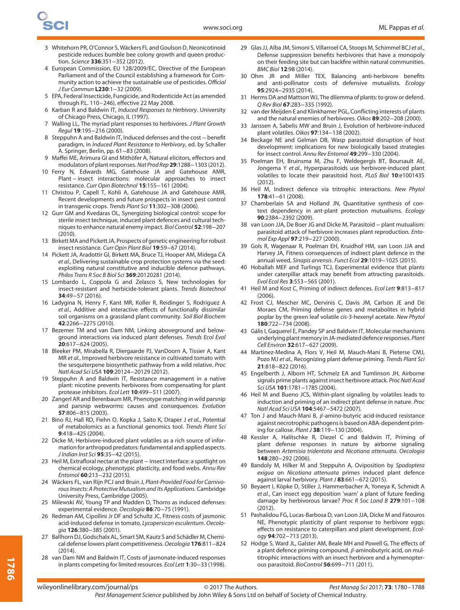- 3 Whitehorn PR, O'Connor S, Wäckers FL and Goulson D, Neonicotinoid pesticide reduces bumble bee colony growth and queen production. Science **336**:351−352 (2012).
- 4 European Commission, EU 128/2009/EC, Directive of the European Parliament and of the Council establishing a framework for Community action to achieve the sustainable use of pesticides. Official J Eur Commun **L230**:1−32 (2009).
- 5 EPA, Federal Insecticide, Fungicide, and Rodenticide Act (as amended through P.L. 110–246), effective 22 May 2008.
- 6 Karban R and Baldwin IT, Induced Responses to Herbivory. University of Chicago Press, Chicago, IL (1997).
- 7 Walling LL, The myriad plant responses to herbivores. J Plant Growth Regul **19**:195−216 (2000).
- 8 Steppuhn A and Baldwin IT, Induced defenses and the cost−benefit paradigm, in Induced Plant Resistance to Herbivory, ed. by Schaller A. Springer, Berlin, pp. 61−83 (2008).
- 9 Maffei ME, Arimura GI and Mithöfer A, Natural elicitors, effectors and modulators of plant responses.Nat Prod Rep **29**:1288−1303 (2012).
- 10 Ferry N, Edwards MG, Gatehouse JA and Gatehouse AMR, Plant−insect interactions: molecular approaches to insect resistance. Curr Opin Biotechnol **15**:155−161 (2004).
- 11 Christou P, Capell T, Kohli A, Gatehouse JA and Gatehouse AMR, Recent developments and future prospects in insect pest control in transgenic crops. Trends Plant Sci **11**:302−308 (2006).
- 12 Gurr GM and Kvedaras OL, Synergizing biological control: scope for sterile insect technique, induced plant defences and cultural techniques to enhance natural enemy impact. Biol Control **52**:198−207 (2010).
- 13 Birkett MA and Pickett JA, Prospects of genetic engineering for robust insect resistance. Curr Opin Plant Biol **19**:59−67 (2014).
- 14 Pickett JA, Aradottír GI, Birkett MA, Bruce TJ, Hooper AM, Midega CA et al., Delivering sustainable crop protection systems via the seed: exploiting natural constitutive and inducible defence pathways. Philos Trans R Soc B Biol Sci **369**:20120281 (2014).
- 15 Lombardo L, Coppola G and Zelasco S, New technologies for insect-resistant and herbicide-tolerant plants. Trends Biotechnol **34**:49−57 (2016).
- 16 Ladygina N, Henry F, Kant MR, Koller R, Reidinger S, Rodriguez A et al., Additive and interactive effects of functionally dissimilar soil organisms on a grassland plant community. Soil Biol Biochem **42**:2266−2275 (2010).
- 17 Bezemer TM and van Dam NM, Linking aboveground and belowground interactions via induced plant defenses. Trends Ecol Evol **20**:617−624 (2005).
- 18 Bleeker PM, Mirabella R, Diergaarde PJ, VanDoorn A, Tissier A, Kant MR et al., Improved herbivore resistance in cultivated tomato with the sesquiterpene biosynthetic pathway from a wild relative. Proc Natl Acad Sci USA **109**:20124−20129 (2012).
- 19 Steppuhn A and Baldwin IT, Resistance management in a native plant: nicotine prevents herbivores from compensating for plant protease inhibitors. Ecol Lett **10**:499−511 (2007).
- 20 Zangerl AR and Berenbaum MR, Phenotype matching in wild parsnip and parsnip webworms: causes and consequences. Evolution **57**:806−815 (2003).
- 21 Bino RJ, Hall RD, Fiehn O, Kopka J, Saito K, Draper J et al., Potential of metabolomics as a functional genomics tool. Trends Plant Sci **9**:418−425 (2004).
- 22 Dicke M, Herbivore-induced plant volatiles as a rich source of information for arthropod predators: fundamental and applied aspects. J Indian Inst Sci **95**:35−42 (2015).
- 23 Heil M, Extrafloral nectar at the plant insect interface: a spotlight on chemical ecology, phenotypic plasticity, and food webs. Annu Rev Entomol **60**:213−232 (2015).
- 24 Wäckers FL, van Rijn PCJ and Bruin J, Plant-Provided Food for Carnivorous Insects: A Protective Mutualism and Its Applications. Cambridge University Press, Cambridge (2005).
- 25 Milewski AV, Young TP and Madden D, Thorns as induced defenses: experimental evidence. Oecologia **86**:70−75 (1991).
- 26 Redman AM, Cipollini Jr DF and Schultz JC, Fitness costs of jasmonic acid-induced defense in tomato, Lycopersicon esculentum. Oecologia **126**:380−385 (2001).
- 27 Ballhorn DJ, Godschalx AL, Smart SM, Kautz S and Schädler M, Chemical defense lowers plant competitiveness. Oecologia **176**:811−824 (2014).
- 28 van Dam NM and Baldwin IT, Costs of jasmonate-induced responses in plants competing for limited resources. Ecol Lett **1**:30−33 (1998).
- 29 Glas JJ, Alba JM, Simoni S, Villarroel CA, Stoops M, Schimmel BCJ et al., Defense suppression benefits herbivores that have a monopoly on their feeding site but can backfire within natural communities. BMC Biol **12**:98 (2014).
- 30 Ohm JR and Miller TEX, Balancing anti-herbivore benefits and anti-pollinator costs of defensive mutualists. Ecology **95**:2924−2935 (2014).
- 31 Herms DA and Mattson WJ, The dilemma of plants: to grow or defend. Q Rev Biol **67**:283−335 (1992).
- 32 van der Meijden E and Klinkhamer PGL, Conflicting interests of plants and the natural enemies of herbivores. Oikos **89**:202−208 (2000).
- 33 Janssen A, Sabelis MW and Bruin J, Evolution of herbivore-induced plant volatiles. Oikos **97**:134−138 (2002).
- 34 Beckage NE and Gelman DB, Wasp parasitoid disruption of host development: implications for new biologically based strategies for insect control. Annu Rev Entomol **49**:299−330 (2004).
- 35 Poelman EH, Bruinsma M, Zhu F, Weldegergis BT, Boursault AE, Jongema Y et al., Hyperparasitoids use herbivore-induced plant volatiles to locate their parasitoid host. PLoS Biol **10**:e1001435 (2012).
- 36 Heil M, Indirect defence via tritrophic interactions. New Phytol **178**:41−61 (2008).
- 37 Chamberlain SA and Holland JN, Quantitative synthesis of context dependency in ant-plant protection mutualisms. Ecology **90**:2384−2392 (2009).
- 38 van Loon JJA, De Boer JG and Dicke M, Parasitoid−plant mutualism: parasitoid attack of herbivore increases plant reproduction. Entomol Exp Appl **97**:219−227 (2000).
- 39 Gols R, Wagenaar R, Poelman EH, Kruidhof HM, van Loon JJA and Harvey JA, Fitness consequences of indirect plant defence in the annual weed, Sinapis arvensis. Funct Ecol **29**:1019−1025 (2015).
- 40 Hoballah MEF and Turlings TCJ, Experimental evidence that plants under caterpillar attack may benefit from attracting parasitoids. Evol Ecol Res **3**:553−565 (2001).
- 41 Heil M and Kost C, Priming of indirect defences. Ecol Lett **9**:813−817  $(2006)$
- 42 Frost CJ, Mescher MC, Dervinis C, Davis JM, Carlson JE and De Moraes CM, Priming defense genes and metabolites in hybrid poplar by the green leaf volatile cis-3-hexenyl acetate. New Phytol **180**:722−734 (2008).
- 43 Gális I, Gaquerel E, Pandey SP and Baldwin IT, Molecular mechanisms underlying plant memory in JA-mediated defence responses. Plant Cell Environ **32**:617−627 (2009).
- 44 Martinez-Medina A, Flors V, Heil M, Mauch-Mani B, Pieterse CMJ, Pozo MJ et al., Recognizing plant defense priming. Trends Plant Sci **21**:818−822 (2016).
- 45 Engelberth J, Alborn HT, Schmelz EA and Tumlinson JH, Airborne signals prime plants against insect herbivore attack. Proc Natl Acad Sci USA **101**:1781−1785 (2004).
- 46 Heil M and Bueno JCS, Within-plant signaling by volatiles leads to induction and priming of an indirect plant defense in nature. Proc Natl Acad Sci USA **104**:5467−5472 (2007).
- 47 Ton J and Mauch-Mani B,  $\beta$ -amino-butyric acid-induced resistance against necrotrophic pathogens is based on ABA-dependent priming for callose. Plant J **38**:119−130 (2004).
- 48 Kessler A, Halitschke R, Diezel C and Baldwin IT, Priming of plant defense responses in nature by airborne signaling between Artemisia tridentata and Nicotiana attenuata. Oecologia **148**:280−292 (2006).
- 49 Bandoly M, Hilker M and Steppuhn A, Oviposition by Spodoptera exigua on Nicotiana attenuata primes induced plant defence against larval herbivory. Plant J **83**:661−672 (2015).
- 50 Beyaert I, Köpke D, Stiller J, Hammerbacher A, Yoneya K, Schmidt A et al., Can insect egg deposition 'warn' a plant of future feeding damage by herbivorous larvae? Proc R Soc Lond B **279**:101−108 (2012).
- 51 Pashalidou FG, Lucas-Barbosa D, van Loon JJA, Dicke M and Fatouros NE, Phenotypic plasticity of plant response to herbivore eggs: effects on resistance to caterpillars and plant development. Ecology **94**:702−713 (2013).
- 52 Hodge S, Ward JL, Galster AM, Beale MH and Powell G, The effects of a plant defence priming compound,  $\beta$ -aminobutyric acid, on multitrophic interactions with an insect herbivore and a hymenopterous parasitoid. BioControl **56**:699−711 (2011).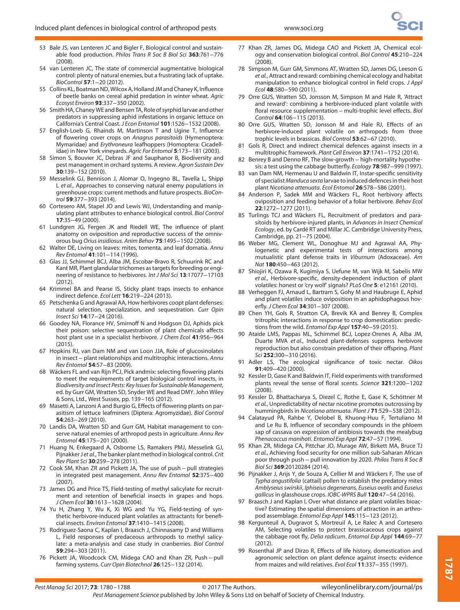- 53 Bale JS, van Lenteren JC and Bigler F, Biological control and sustainable food production. Philos Trans R Soc B Biol Sci **363**:761−776 (2008).
- 54 van Lenteren JC, The state of commercial augmentative biological control: plenty of natural enemies, but a frustrating lack of uptake. BioControl **57**:1−20 (2012).
- 55 Collins KL, Boatman ND, Wilcox A, Holland JM and Chaney K, Influence of beetle banks on cereal aphid predation in winter wheat. Agric Ecosyst Environ **93**:337−350 (2002).
- 56 Smith HA, Chaney WE and Bensen TA, Role of syrphid larvae and other predators in suppressing aphid infestations in organic lettuce on California's Central Coast. J Econ Entomol **101**:1526−1532 (2008).
- 57 English-Loeb G, Rhainds M, Martinson T and Ugine T, Influence of flowering cover crops on Anagrus parasitoids (Hymenoptera: Mymaridae) and Erythroneura leafhoppers (Homoptera: Cicadellidae) in New York vineyards. Agric For Entomol **5**:173−181 (2003).
- 58 Simon S, Bouvier JC, Debras JF and Sauphanor B, Biodiversity and pest management in orchard systems. A review. Agron Sustain Dev **30**:139−152 (2010).
- 59 Messelink GJ, Bennison J, Alomar O, Ingegno BL, Tavella L, Shipp L et al., Approaches to conserving natural enemy populations in greenhouse crops: current methods and future prospects. BioControl **59**:377−393 (2014).
- 60 Cortesero AM, Stapel JO and Lewis WJ, Understanding and manipulating plant attributes to enhance biological control. Biol Control **17**:35−49 (2000).
- 61 Lundgren JG, Fergen JK and Riedell WE, The influence of plant anatomy on oviposition and reproductive success of the omnivorous bug Orius insidiosus. Anim Behav **75**:1495−1502 (2008).
- 62 Walter DE, Living on leaves: mites, tomenta, and leaf domatia. Annu Rev Entomol **41**:101−114 (1996).
- 63 Glas JJ, Schimmel BCJ, Alba JM, Escobar-Bravo R, Schuurink RC and Kant MR, Plant glandular trichomes as targets for breeding or engineering of resistance to herbivores. Int J Mol Sci **13**:17077−17103 (2012).
- 64 Krimmel BA and Pearse IS, Sticky plant traps insects to enhance indirect defence. Ecol Lett **16**:219−224 (2013).
- 65 Petschenka G and Agrawal AA, How herbivores coopt plant defenses: natural selection, specialization, and sequestration. Curr Opin Insect Sci **14**:17−24 (2016).
- 66 Goodey NA, Florance HV, Smirnoff N and Hodgson DJ, Aphids pick their poison: selective sequestration of plant chemicals affects host plant use in a specialist herbivore. J Chem Ecol **41**:956−964  $(2015)$ .
- 67 Hopkins RJ, van Dam NM and van Loon JJA, Role of glucosinolates in insect−plant relationships and multitrophic interactions. Annu Rev Entomol **54**:57−83 (2009).
- 68 Wäckers FL and van Rijn PCJ, Pick andmix: selecting flowering plants to meet the requirements of target biological control insects, in Biodiversity and Insect Pests: Key Issues for Sustainable Management, ed. by Gurr GM, Wratten SD, Snyder WE and Read DMY. John Wiley & Sons, Ltd., West Sussex, pp. 139–165 (2012).
- 69 Masetti A, Lanzoni A and Burgio G, Effects of flowering plants on parasitism of lettuce leafminers (Diptera: Agromyzidae). Biol Control **54**:263−269 (2010).
- 70 Landis DA, Wratten SD and Gurr GM, Habitat management to conserve natural enemies of arthropod pests in agriculture. Annu Rev Entomol **45**:175−201 (2000).
- 71 Huang N, Enkegaard A, Osborne LS, Ramakers PMJ, Messelink GJ, Pijnakker J et al., The banker plant method in biological control. Crit Rev Plant Sci **30**:259−278 (2011).
- 72 Cook SM, Khan ZR and Pickett JA, The use of push−pull strategies in integrated pest management. Annu Rev Entomol **52**:375−400 (2007).
- 73 James DG and Price TS, Field-testing of methyl salicylate for recruitment and retention of beneficial insects in grapes and hops. J Chem Ecol **30**:1613−1628 (2004).
- 74 Yu H, Zhang Y, Wu K, Xi WG and Yu YG, Field-testing of synthetic herbivore-induced plant volatiles as attractants for beneficial insects. Environ Entomol **37**:1410−1415 (2008).
- 75 Rodriguez-Saona C, Kaplan I, Braasch J, Chinnasamy D and Williams L, Field responses of predaceous arthropods to methyl salicylate: a meta-analysis and case study in cranberries. Biol Control **59**:294−303 (2011).
- 76 Pickett JA, Woodcock CM, Midega CAO and Khan ZR, Push−pull farming systems. Curr Opin Biotechnol **26**:125−132 (2014).
- 77 Khan ZR, James DG, Midega CAO and Pickett JA, Chemical ecology and conservation biological control. Biol Control **45**:210−224  $(2008)$
- 78 Simpson M, Gurr GM, Simmons AT, Wratten SD, James DG, Leeson G et al., Attract and reward: combining chemical ecology and habitat manipulation to enhance biological control in field crops. J Appl Ecol **48**:580−590 (2011).
- 79 Orre GUS, Wratten SD, Jonsson M, Simpson M and Hale R, 'Attract and reward': combining a herbivore-induced plant volatile with floral resource supplementation− multi-trophic level effects. Biol Control **64**:106−115 (2013).
- 80 Orre GUS, Wratten SD, Jonsson M and Hale RJ, Effects of an herbivore-induced plant volatile on arthropods from three trophic levels in brassicas. Biol Control **53**:62−67 (2010).
- 81 Gols R, Direct and indirect chemical defences against insects in a multitrophic framework. Plant Cell Environ **37**:1741−1752 (2014).
- 82 Benrey B and Denno RF, The slow-growth high-mortality hypothesis: a test using the cabbage butterfly. Ecology **78**:987−999 (1997).
- 83 van Dam NM, Hermenau U and Baldwin IT, Instar-specific sensitivity of specialist Manduca sexta larvae to induced defences in their host plant Nicotiana attenuata. Ecol Entomol **26**:578−586 (2001).
- 84 Anderson P, Sadek MM and Wäckers FL, Root herbivory affects oviposition and feeding behavior of a foliar herbivore. Behav Ecol **22**:1272−1277 (2011).
- 85 Turlings TCJ and Wäckers FL, Recruitment of predators and parasitoids by herbivore-injured plants, in Advances in Insect Chemical Ecology, ed. by Cardé RT and Millar JC. Cambridge University Press, Cambridge, pp. 21−75 (2004).
- 86 Weber MG, Clement WL, Donoghue MJ and Agrawal AA, Phylogenetic and experimental tests of interactions among mutualistic plant defense traits in Viburnum (Adoxaceae). Am Nat **180**:450−463 (2012).
- 87 Shiojiri K, Ozawa R, Kugimiya S, Uefune M, van Wijk M, Sabelis MW et al., Herbivore-specific, density-dependent induction of plant volatiles: honest or 'cry wolf' signals? PLoS One **5**: e12161 (2010).
- 88 Verheggen FJ, Arnaud L, Bartram S, Gohy M and Haubruge E, Aphid and plant volatiles induce oviposition in an aphidophagous hoverfly. J Chem Ecol **34**:301−307 (2008).
- 89 Chen YH, Gols R, Stratton CA, Brevik KA and Benrey B, Complex tritrophic interactions in response to crop domestication: predictions from the wild. Entomol Exp Appl **157**:40−59 (2015).
- 90 Ataide LMS, Pappas ML, Schimmel BCJ, Lopez-Orenes A, Alba JM, Duarte MVA et al., Induced plant-defenses suppress herbivore reproduction but also constrain predation of their offspring. Plant Sci **252**:300−310 (2016).
- 91 Adler LS, The ecological significance of toxic nectar. Oikos **91**:409−420 (2000).
- 92 Kessler D, Gase K and Baldwin IT, Field experiments with transformed plants reveal the sense of floral scents. Science **321**:1200−1202 (2008).
- 93 Kessler D, Bhattacharya S, Diezel C, Rothe E, Gase K, Schöttner M et al., Unpredictability of nectar nicotine promotes outcrossing by hummingbirds in Nicotiana attenuata. Plant J **71**:529−538 (2012).
- 94 Calatayud PA, Rahbe Y, Delobel B, Khuong-Huu F, Tertuliano M and Le Ru B, Influence of secondary compounds in the phloem sap of cassava on expression of antibiosis towards the mealybug Phenacoccus manihoti. Entomol Exp Appl **72**:47−57 (1994).
- 95 Khan ZR, Midega CA, Pittchar JO, Murage AW, Birkett MA, Bruce TJ et al., Achieving food security for one million sub-Saharan African poor through push−pull innovation by 2020. Philos Trans R Soc B Biol Sci **369**:20120284 (2014).
- 96 Pijnakker J, Arijs Y, de Souza A, Cellier M and Wäckers F, The use of Typha angustifolia (cattail) pollen to establish the predatory mites Amblyseius swirskii, Iphiseius degenerans, Euseius ovalis and Euseius gallicus in glasshouse crops. IOBC-WPRS Bull **120**:47−54 (2016).
- 97 Braasch J and Kaplan I, Over what distance are plant volatiles bioactive? Estimating the spatial dimensions of attraction in an arthropod assemblage. Entomol Exp Appl **145**:115−123 (2012).
- 98 Kergunteuil A, Dugravot S, Mortreuil A, Le Ralec A and Cortesero AM, Selecting volatiles to protect brassicaceous crops against the cabbage root fly, Delia radicum. Entomol Exp Appl **144**:69−77 (2012).
- 99 Rosenthal JP and Dirzo R, Effects of life history, domestication and agronomic selection on plant defence against insects: evidence from maizes and wild relatives. Evol Ecol **11**:337−355 (1997).